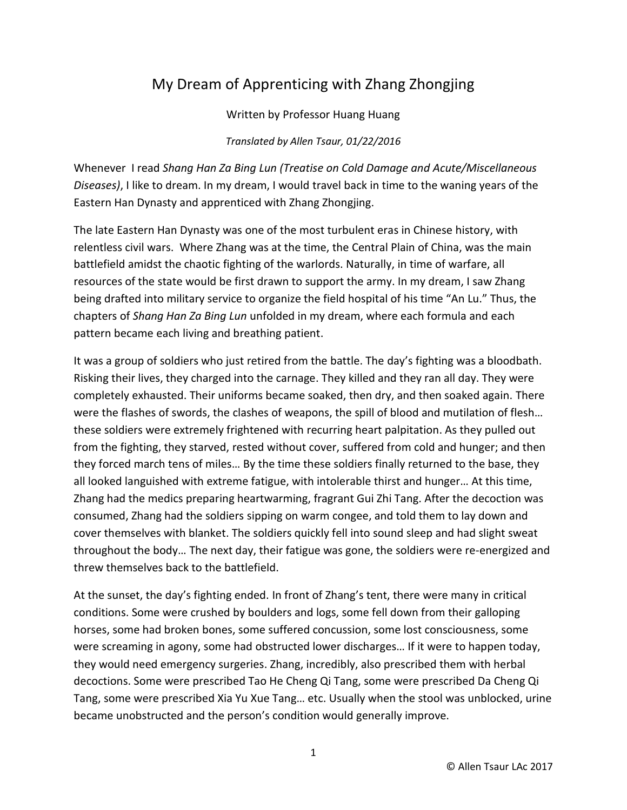## My Dream of Apprenticing with Zhang Zhongjing

Written by Professor Huang Huang

*Translated by Allen Tsaur, 01/22/2016*

Whenever I read *Shang Han Za Bing Lun (Treatise on Cold Damage and Acute/Miscellaneous Diseases)*, I like to dream. In my dream, I would travel back in time to the waning years of the Eastern Han Dynasty and apprenticed with Zhang Zhongjing.

The late Eastern Han Dynasty was one of the most turbulent eras in Chinese history, with relentless civil wars. Where Zhang was at the time, the Central Plain of China, was the main battlefield amidst the chaotic fighting of the warlords. Naturally, in time of warfare, all resources of the state would be first drawn to support the army. In my dream, I saw Zhang being drafted into military service to organize the field hospital of his time "An Lu." Thus, the chapters of *Shang Han Za Bing Lun* unfolded in my dream, where each formula and each pattern became each living and breathing patient.

It was a group of soldiers who just retired from the battle. The day's fighting was a bloodbath. Risking their lives, they charged into the carnage. They killed and they ran all day. They were completely exhausted. Their uniforms became soaked, then dry, and then soaked again. There were the flashes of swords, the clashes of weapons, the spill of blood and mutilation of flesh… these soldiers were extremely frightened with recurring heart palpitation. As they pulled out from the fighting, they starved, rested without cover, suffered from cold and hunger; and then they forced march tens of miles… By the time these soldiers finally returned to the base, they all looked languished with extreme fatigue, with intolerable thirst and hunger… At this time, Zhang had the medics preparing heartwarming, fragrant Gui Zhi Tang. After the decoction was consumed, Zhang had the soldiers sipping on warm congee, and told them to lay down and cover themselves with blanket. The soldiers quickly fell into sound sleep and had slight sweat throughout the body… The next day, their fatigue was gone, the soldiers were re-energized and threw themselves back to the battlefield.

At the sunset, the day's fighting ended. In front of Zhang's tent, there were many in critical conditions. Some were crushed by boulders and logs, some fell down from their galloping horses, some had broken bones, some suffered concussion, some lost consciousness, some were screaming in agony, some had obstructed lower discharges… If it were to happen today, they would need emergency surgeries. Zhang, incredibly, also prescribed them with herbal decoctions. Some were prescribed Tao He Cheng Qi Tang, some were prescribed Da Cheng Qi Tang, some were prescribed Xia Yu Xue Tang… etc. Usually when the stool was unblocked, urine became unobstructed and the person's condition would generally improve.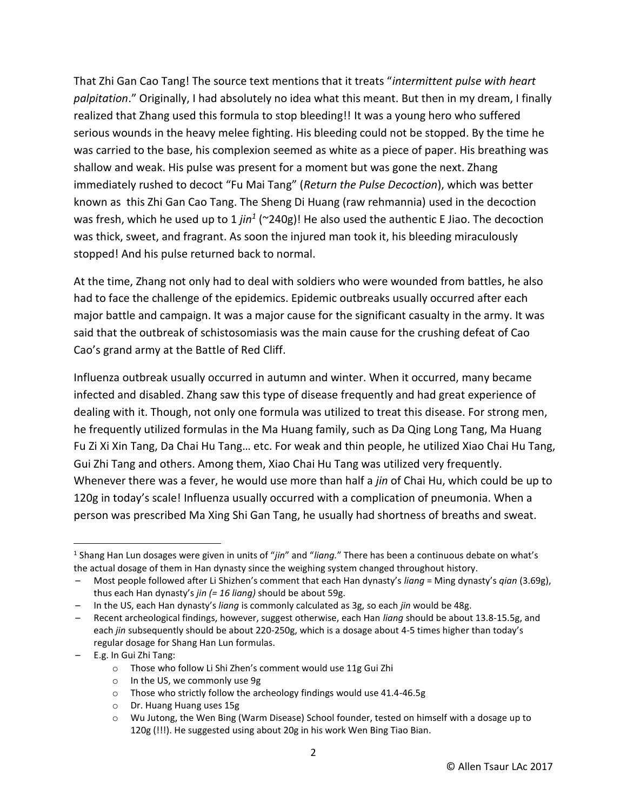That Zhi Gan Cao Tang! The source text mentions that it treats "*intermittent pulse with heart palpitation*." Originally, I had absolutely no idea what this meant. But then in my dream, I finally realized that Zhang used this formula to stop bleeding!! It was a young hero who suffered serious wounds in the heavy melee fighting. His bleeding could not be stopped. By the time he was carried to the base, his complexion seemed as white as a piece of paper. His breathing was shallow and weak. His pulse was present for a moment but was gone the next. Zhang immediately rushed to decoct "Fu Mai Tang" (*Return the Pulse Decoction*), which was better known as this Zhi Gan Cao Tang. The Sheng Di Huang (raw rehmannia) used in the decoction was fresh, which he used up to 1 *jin<sup>1</sup>* (~240g)! He also used the authentic E Jiao. The decoction was thick, sweet, and fragrant. As soon the injured man took it, his bleeding miraculously stopped! And his pulse returned back to normal.

At the time, Zhang not only had to deal with soldiers who were wounded from battles, he also had to face the challenge of the epidemics. Epidemic outbreaks usually occurred after each major battle and campaign. It was a major cause for the significant casualty in the army. It was said that the outbreak of schistosomiasis was the main cause for the crushing defeat of Cao Cao's grand army at the Battle of Red Cliff.

Influenza outbreak usually occurred in autumn and winter. When it occurred, many became infected and disabled. Zhang saw this type of disease frequently and had great experience of dealing with it. Though, not only one formula was utilized to treat this disease. For strong men, he frequently utilized formulas in the Ma Huang family, such as Da Qing Long Tang, Ma Huang Fu Zi Xi Xin Tang, Da Chai Hu Tang… etc. For weak and thin people, he utilized Xiao Chai Hu Tang, Gui Zhi Tang and others. Among them, Xiao Chai Hu Tang was utilized very frequently. Whenever there was a fever, he would use more than half a *jin* of Chai Hu, which could be up to 120g in today's scale! Influenza usually occurred with a complication of pneumonia. When a person was prescribed Ma Xing Shi Gan Tang, he usually had shortness of breaths and sweat.

– E.g. In Gui Zhi Tang:

 $\overline{\phantom{a}}$ 

- o Those who follow Li Shi Zhen's comment would use 11g Gui Zhi
- o In the US, we commonly use 9g
- o Those who strictly follow the archeology findings would use 41.4-46.5g
- o Dr. Huang Huang uses 15g

<sup>1</sup> Shang Han Lun dosages were given in units of "*jin*" and "*liang.*" There has been a continuous debate on what's the actual dosage of them in Han dynasty since the weighing system changed throughout history.

<sup>–</sup> Most people followed after Li Shizhen's comment that each Han dynasty's *liang* = Ming dynasty's *qian* (3.69g), thus each Han dynasty's *jin (= 16 liang)* should be about 59g.

<sup>–</sup> In the US, each Han dynasty's *liang* is commonly calculated as 3g, so each *jin* would be 48g.

<sup>–</sup> Recent archeological findings, however, suggest otherwise, each Han *liang* should be about 13.8-15.5g, and each *jin* subsequently should be about 220-250g, which is a dosage about 4-5 times higher than today's regular dosage for Shang Han Lun formulas.

 $\circ$  Wu Jutong, the Wen Bing (Warm Disease) School founder, tested on himself with a dosage up to 120g (!!!). He suggested using about 20g in his work Wen Bing Tiao Bian.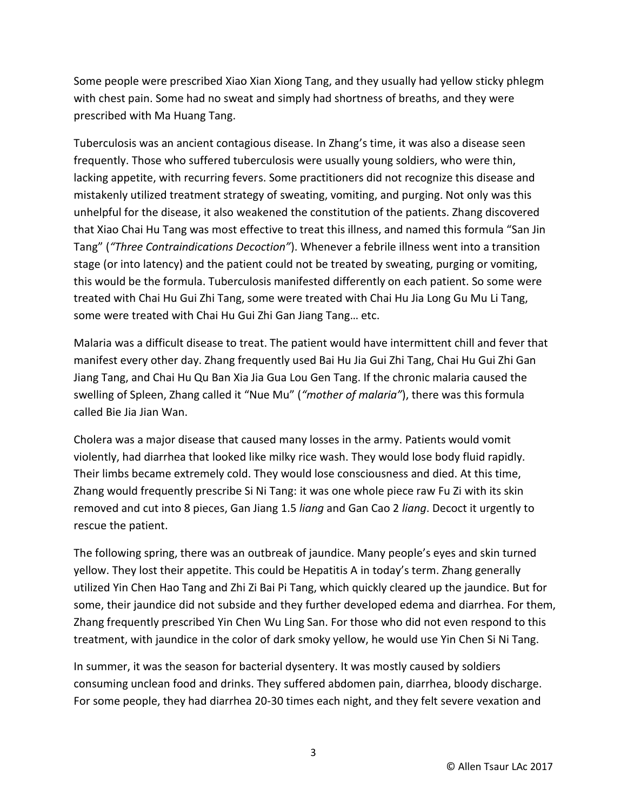Some people were prescribed Xiao Xian Xiong Tang, and they usually had yellow sticky phlegm with chest pain. Some had no sweat and simply had shortness of breaths, and they were prescribed with Ma Huang Tang.

Tuberculosis was an ancient contagious disease. In Zhang's time, it was also a disease seen frequently. Those who suffered tuberculosis were usually young soldiers, who were thin, lacking appetite, with recurring fevers. Some practitioners did not recognize this disease and mistakenly utilized treatment strategy of sweating, vomiting, and purging. Not only was this unhelpful for the disease, it also weakened the constitution of the patients. Zhang discovered that Xiao Chai Hu Tang was most effective to treat this illness, and named this formula "San Jin Tang" (*"Three Contraindications Decoction"*). Whenever a febrile illness went into a transition stage (or into latency) and the patient could not be treated by sweating, purging or vomiting, this would be the formula. Tuberculosis manifested differently on each patient. So some were treated with Chai Hu Gui Zhi Tang, some were treated with Chai Hu Jia Long Gu Mu Li Tang, some were treated with Chai Hu Gui Zhi Gan Jiang Tang… etc.

Malaria was a difficult disease to treat. The patient would have intermittent chill and fever that manifest every other day. Zhang frequently used Bai Hu Jia Gui Zhi Tang, Chai Hu Gui Zhi Gan Jiang Tang, and Chai Hu Qu Ban Xia Jia Gua Lou Gen Tang. If the chronic malaria caused the swelling of Spleen, Zhang called it "Nue Mu" (*"mother of malaria"*), there was this formula called Bie Jia Jian Wan.

Cholera was a major disease that caused many losses in the army. Patients would vomit violently, had diarrhea that looked like milky rice wash. They would lose body fluid rapidly. Their limbs became extremely cold. They would lose consciousness and died. At this time, Zhang would frequently prescribe Si Ni Tang: it was one whole piece raw Fu Zi with its skin removed and cut into 8 pieces, Gan Jiang 1.5 *liang* and Gan Cao 2 *liang*. Decoct it urgently to rescue the patient.

The following spring, there was an outbreak of jaundice. Many people's eyes and skin turned yellow. They lost their appetite. This could be Hepatitis A in today's term. Zhang generally utilized Yin Chen Hao Tang and Zhi Zi Bai Pi Tang, which quickly cleared up the jaundice. But for some, their jaundice did not subside and they further developed edema and diarrhea. For them, Zhang frequently prescribed Yin Chen Wu Ling San. For those who did not even respond to this treatment, with jaundice in the color of dark smoky yellow, he would use Yin Chen Si Ni Tang.

In summer, it was the season for bacterial dysentery. It was mostly caused by soldiers consuming unclean food and drinks. They suffered abdomen pain, diarrhea, bloody discharge. For some people, they had diarrhea 20-30 times each night, and they felt severe vexation and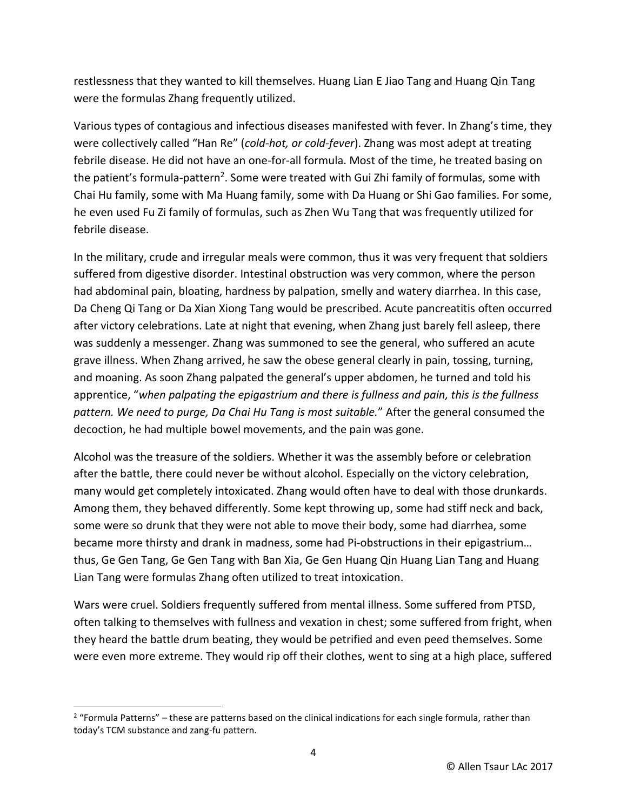restlessness that they wanted to kill themselves. Huang Lian E Jiao Tang and Huang Qin Tang were the formulas Zhang frequently utilized.

Various types of contagious and infectious diseases manifested with fever. In Zhang's time, they were collectively called "Han Re" (*cold-hot, or cold-fever*). Zhang was most adept at treating febrile disease. He did not have an one-for-all formula. Most of the time, he treated basing on the patient's formula-pattern<sup>2</sup>. Some were treated with Gui Zhi family of formulas, some with Chai Hu family, some with Ma Huang family, some with Da Huang or Shi Gao families. For some, he even used Fu Zi family of formulas, such as Zhen Wu Tang that was frequently utilized for febrile disease.

In the military, crude and irregular meals were common, thus it was very frequent that soldiers suffered from digestive disorder. Intestinal obstruction was very common, where the person had abdominal pain, bloating, hardness by palpation, smelly and watery diarrhea. In this case, Da Cheng Qi Tang or Da Xian Xiong Tang would be prescribed. Acute pancreatitis often occurred after victory celebrations. Late at night that evening, when Zhang just barely fell asleep, there was suddenly a messenger. Zhang was summoned to see the general, who suffered an acute grave illness. When Zhang arrived, he saw the obese general clearly in pain, tossing, turning, and moaning. As soon Zhang palpated the general's upper abdomen, he turned and told his apprentice, "*when palpating the epigastrium and there is fullness and pain, this is the fullness pattern. We need to purge, Da Chai Hu Tang is most suitable.*" After the general consumed the decoction, he had multiple bowel movements, and the pain was gone.

Alcohol was the treasure of the soldiers. Whether it was the assembly before or celebration after the battle, there could never be without alcohol. Especially on the victory celebration, many would get completely intoxicated. Zhang would often have to deal with those drunkards. Among them, they behaved differently. Some kept throwing up, some had stiff neck and back, some were so drunk that they were not able to move their body, some had diarrhea, some became more thirsty and drank in madness, some had Pi-obstructions in their epigastrium… thus, Ge Gen Tang, Ge Gen Tang with Ban Xia, Ge Gen Huang Qin Huang Lian Tang and Huang Lian Tang were formulas Zhang often utilized to treat intoxication.

Wars were cruel. Soldiers frequently suffered from mental illness. Some suffered from PTSD, often talking to themselves with fullness and vexation in chest; some suffered from fright, when they heard the battle drum beating, they would be petrified and even peed themselves. Some were even more extreme. They would rip off their clothes, went to sing at a high place, suffered

l

 $2$  "Formula Patterns" – these are patterns based on the clinical indications for each single formula, rather than today's TCM substance and zang-fu pattern.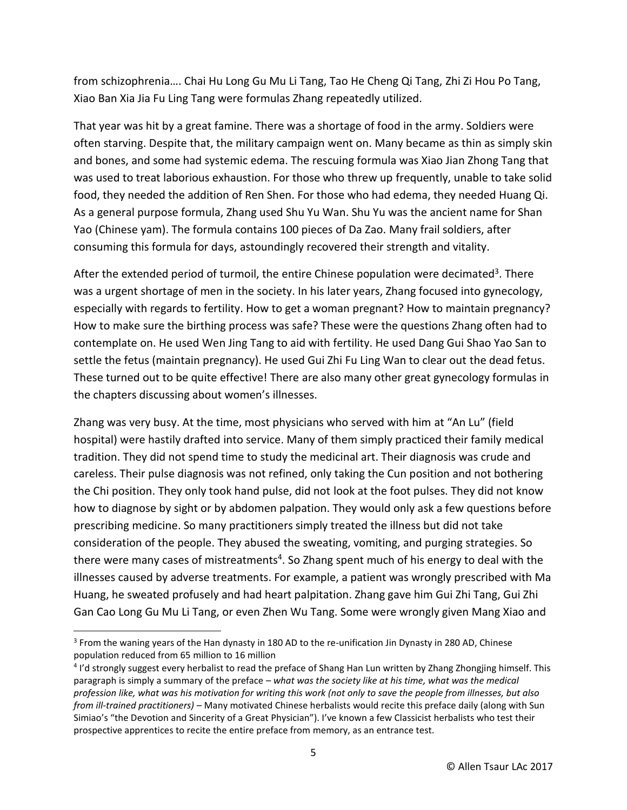from schizophrenia…. Chai Hu Long Gu Mu Li Tang, Tao He Cheng Qi Tang, Zhi Zi Hou Po Tang, Xiao Ban Xia Jia Fu Ling Tang were formulas Zhang repeatedly utilized.

That year was hit by a great famine. There was a shortage of food in the army. Soldiers were often starving. Despite that, the military campaign went on. Many became as thin as simply skin and bones, and some had systemic edema. The rescuing formula was Xiao Jian Zhong Tang that was used to treat laborious exhaustion. For those who threw up frequently, unable to take solid food, they needed the addition of Ren Shen. For those who had edema, they needed Huang Qi. As a general purpose formula, Zhang used Shu Yu Wan. Shu Yu was the ancient name for Shan Yao (Chinese yam). The formula contains 100 pieces of Da Zao. Many frail soldiers, after consuming this formula for days, astoundingly recovered their strength and vitality.

After the extended period of turmoil, the entire Chinese population were decimated<sup>3</sup>. There was a urgent shortage of men in the society. In his later years, Zhang focused into gynecology, especially with regards to fertility. How to get a woman pregnant? How to maintain pregnancy? How to make sure the birthing process was safe? These were the questions Zhang often had to contemplate on. He used Wen Jing Tang to aid with fertility. He used Dang Gui Shao Yao San to settle the fetus (maintain pregnancy). He used Gui Zhi Fu Ling Wan to clear out the dead fetus. These turned out to be quite effective! There are also many other great gynecology formulas in the chapters discussing about women's illnesses.

Zhang was very busy. At the time, most physicians who served with him at "An Lu" (field hospital) were hastily drafted into service. Many of them simply practiced their family medical tradition. They did not spend time to study the medicinal art. Their diagnosis was crude and careless. Their pulse diagnosis was not refined, only taking the Cun position and not bothering the Chi position. They only took hand pulse, did not look at the foot pulses. They did not know how to diagnose by sight or by abdomen palpation. They would only ask a few questions before prescribing medicine. So many practitioners simply treated the illness but did not take consideration of the people. They abused the sweating, vomiting, and purging strategies. So there were many cases of mistreatments<sup>4</sup>. So Zhang spent much of his energy to deal with the illnesses caused by adverse treatments. For example, a patient was wrongly prescribed with Ma Huang, he sweated profusely and had heart palpitation. Zhang gave him Gui Zhi Tang, Gui Zhi Gan Cao Long Gu Mu Li Tang, or even Zhen Wu Tang. Some were wrongly given Mang Xiao and

 $\overline{\phantom{a}}$ 

<sup>&</sup>lt;sup>3</sup> From the waning years of the Han dynasty in 180 AD to the re-unification Jin Dynasty in 280 AD, Chinese population reduced from 65 million to 16 million

<sup>4</sup> I'd strongly suggest every herbalist to read the preface of Shang Han Lun written by Zhang Zhongjing himself. This paragraph is simply a summary of the preface – *what was the society like at his time, what was the medical profession like, what was his motivation for writing this work (not only to save the people from illnesses, but also from ill-trained practitioners)* – Many motivated Chinese herbalists would recite this preface daily (along with Sun Simiao's "the Devotion and Sincerity of a Great Physician"). I've known a few Classicist herbalists who test their prospective apprentices to recite the entire preface from memory, as an entrance test.